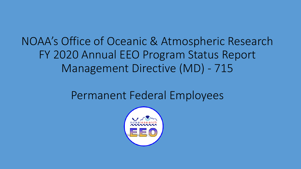# NOAA's Office of Oceanic & Atmospheric Research FY 2020 Annual EEO Program Status Report Management Directive (MD) - 715

## Permanent Federal Employees

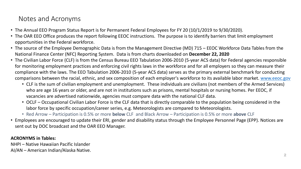### Notes and Acronyms

- The Annual EEO Program Status Report is for Permanent Federal Employees for FY 20 (10/1/2019 to 9/30/2020).
- The OAR EEO Office produces the report following EEOC instructions. The purpose is to identify barriers that limit employment opportunities in the Federal workforce.
- The source of the Employee Demographic Data is from the Management Directive (MD) 715 EEOC Workforce Data Tables from the National Finance Center (NFC) Reporting System. Data is from charts downloaded on **December 22, 2020**
- The Civilian Labor Force (CLF) is from the Census Bureau EEO Tabulation 2006-2010 (5-year ACS data) for Federal agencies responsible for monitoring employment practices and enforcing civil rights laws in the workforce and for all employers so they can measure their compliance with the laws. The EEO Tabulation 2006-2010 (5-year ACS data) serves as the primary external benchmark for conducting comparisons between the racial, ethnic, and sex composition of each employer's workforce to its available labor market. [www.eeoc.gov](http://www.eeoc.gov/)
	- CLF is the sum of civilian employment and unemployment. These individuals are civilians (not members of the Armed Services) who are age 16 years or older, and are not in institutions such as prisons, mental hospitals or nursing homes. Per EEOC, if vacancies are advertised nationwide, agencies must compare data with the national CLF data.
	- OCLF Occupational Civilian Labor Force is the CLF data that is directly comparable to the population being considered in the labor force by specific occupation/career series, e.g. Meteorologists are compared to Meteorologists.
	- Red Arrow Participation is 0.5% or more **below** CLF and Black Arrow Participation is 0.5% or more **above** CLF
- Employees are encouraged to update their ERI, gender and disability status through the Employee Personnel Page (EPP). Notices are sent out by DOC broadcast and the OAR EEO Manager.

#### **ACRONYMS in Tables:**

NHPI – Native Hawaiian Pacific Islander AI/AN – American Indian/Alaska Native.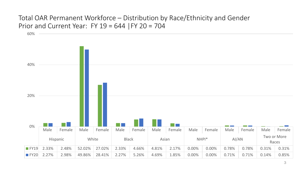### Total OAR Permanent Workforce – Distribution by Race/Ethnicity and Gender Prior and Current Year: FY  $19 = 644$  |FY  $20 = 704$

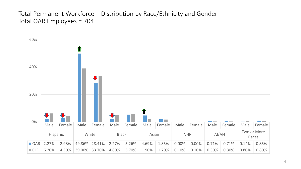### Total Permanent Workforce – Distribution by Race/Ethnicity and Gender Total OAR Employees = 704

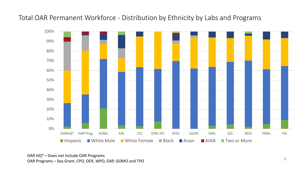Total OAR Permanent Workforce - Distribution by Ethnicity by Labs and Programs



OAR HQ\* – Does not include OAR Programs OAR Programs – Sea Grant, CPO, OER, WPO, OAP, GOMO and TPO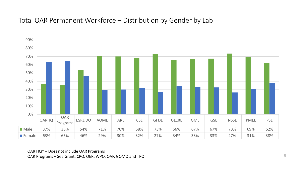### Total OAR Permanent Workforce – Distribution by Gender by Lab



OAR HQ\* – Does not include OAR Programs OAR Programs – Sea Grant, CPO, OER, WPO, OAP, GOMO and TPO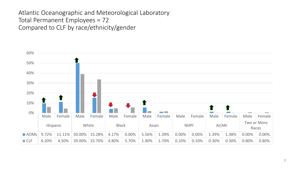### Atlantic Oceanographic and Meteorological Laboratory Total Permanent Employees = 72 Compared to CLF by race/ethnicity/gender

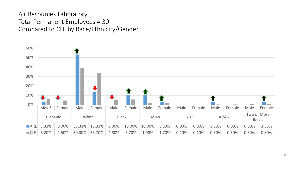### Air Resources Laboratory Total Permanent Employees = 30 Compared to CLF by Race/Ethnicity/Gender

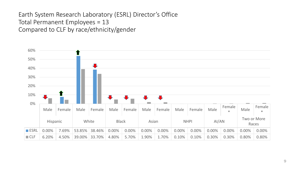### Earth System Research Laboratory (ESRL) Director's Office Total Permanent Employees = 13 Compared to CLF by race/ethnicity/gender

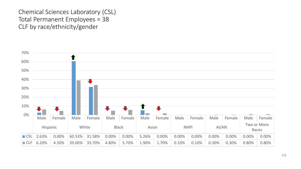### Chemical Sciences Laboratory (CSL) Total Permanent Employees = 38 CLF by race/ethnicity/gender

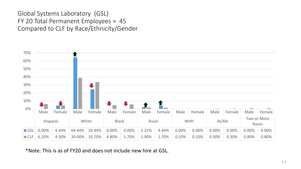Global Systems Laboratory (GSL) FY 20 Total Permanent Employees = 45 Compared to CLF by Race/Ethnicity/Gender



\*Note: This is as of FY20 and does not include new hire at GSL.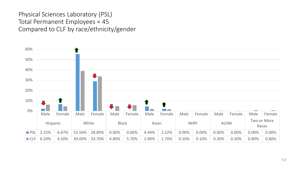### Physical Sciences Laboratory (PSL) Total Permanent Employees = 45 Compared to CLF by race/ethnicity/gender

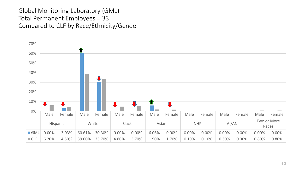### Global Monitoring Laboratory (GML) Total Permanent Employees = 33 Compared to CLF by Race/Ethnicity/Gender

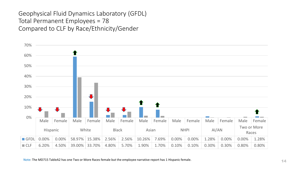### Geophysical Fluid Dynamics Laboratory (GFDL) Total Permanent Employees = 78 Compared to CLF by Race/Ethnicity/Gender

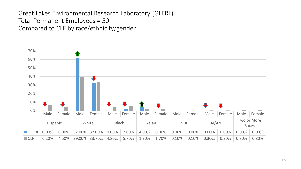### Great Lakes Environmental Research Laboratory (GLERL) Total Permanent Employees = 50 Compared to CLF by race/ethnicity/gender

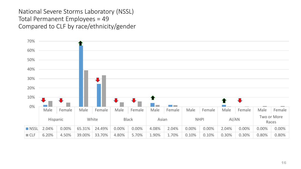National Severe Storms Laboratory (NSSL) Total Permanent Employees = 49 Compared to CLF by race/ethnicity/gender

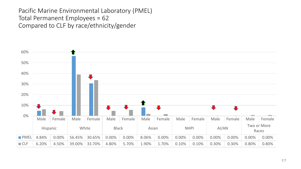Pacific Marine Environmental Laboratory (PMEL) Total Permanent Employees = 62 Compared to CLF by race/ethnicity/gender

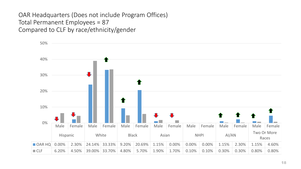OAR Headquarters (Does not include Program Offices) Total Permanent Employees = 87 Compared to CLF by race/ethnicity/gender

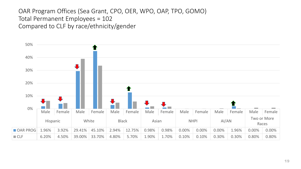### OAR Program Offices (Sea Grant, CPO, OER, WPO, OAP, TPO, GOMO) Total Permanent Employees = 102 Compared to CLF by race/ethnicity/gender

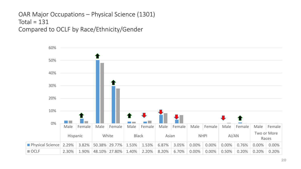```
OAR Major Occupations – Physical Science (1301)
Total = 131Compared to OCLF by Race/Ethnicity/Gender
```
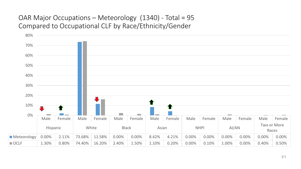### OAR Major Occupations – Meteorology (1340) - Total = 95 Compared to Occupational CLF by Race/Ethnicity/Gender

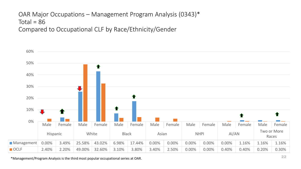## OAR Major Occupations – Management Program Analysis (0343)\* Total =  $86$

Compared to Occupational CLF by Race/Ethnicity/Gender



\*Management/Program Analysis is the third most popular occupational series at OAR.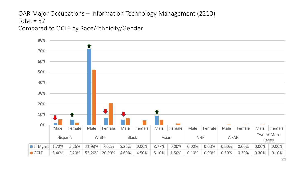### OAR Major Occupations – Information Technology Management (2210) Total =  $57$ Compared to OCLF by Race/Ethnicity/Gender

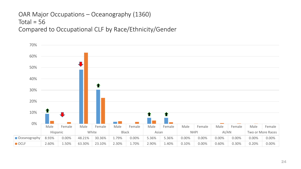## OAR Major Occupations – Oceanography (1360) Total =  $56$

Compared to Occupational CLF by Race/Ethnicity/Gender

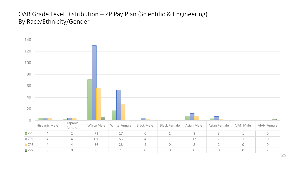### OAR Grade Level Distribution – ZP Pay Plan (Scientific & Engineering) By Race/Ethnicity/Gender

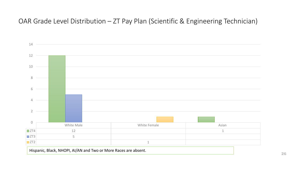### OAR Grade Level Distribution – ZT Pay Plan (Scientific & Engineering Technician)



Hispanic, Black, NHOPI, AI/AN and Two or More Races are absent.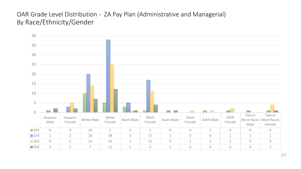### OAR Grade Level Distribution - ZA Pay Plan (Administrative and Managerial) By Race/Ethnicity/Gender

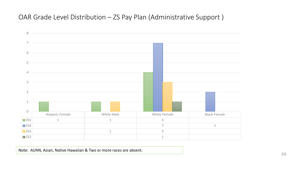OAR Grade Level Distribution – ZS Pay Plan (Administrative Support )



Note: AI/AN, Asian, Native Hawaiian & Two or more races are absent.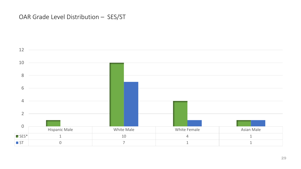### OAR Grade Level Distribution – SES/ST

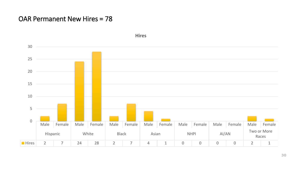### OAR Permanent New Hires = 78



**Hires**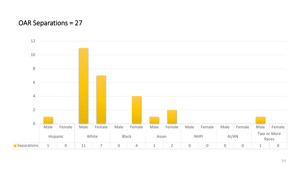### OAR Separations = 27

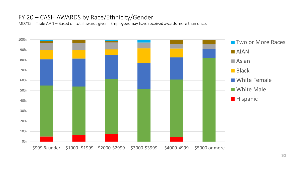### FY 20 – CASH AWARDS by Race/Ethnicity/Gender

MD715 - Table A9-1 – Based on total awards given. Employees may have received awards more than once.

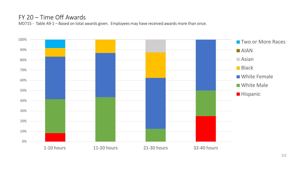### FY 20 – Time Off Awards

MD715 - Table A9-1 – Based on total awards given. Employees may have received awards more than once.

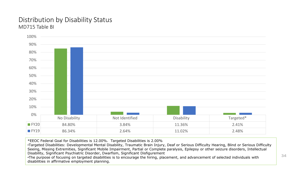#### Distribution by Disability Status MD715 Table BI



\*EEOC Federal Goal for Disabilities is 12.00%. Targeted Disabilities is 2.00%

•Targeted Disabilities: Developmental Mental Disability, Traumatic Brain Injury, Deaf or Serious Difficulty Hearing, Blind or Serious Difficulty Seeing, Missing Extremities, Significant Mobile Impairment, Partial or Complete paralysis, Epilepsy or other seizure disorders, Intellectual Disability, Significant Psychiatric Disorder, Dwarfism, Significant Disfigurement

•The purpose of focusing on targeted disabilities is to encourage the hiring, placement, and advancement of selected individuals with disabilities in affirmative employment planning.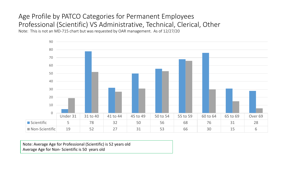### Age Profile by PATCO Categories for Permanent Employees Professional (Scientific) VS Administrative, Technical, Clerical, Other

Note: This is not an MD-715 chart but was requested by OAR management. As of 12/27/20



Note: Average Age for Professional (Scientific) is 52 years old Average Age for Non- Scientific is 50 years old